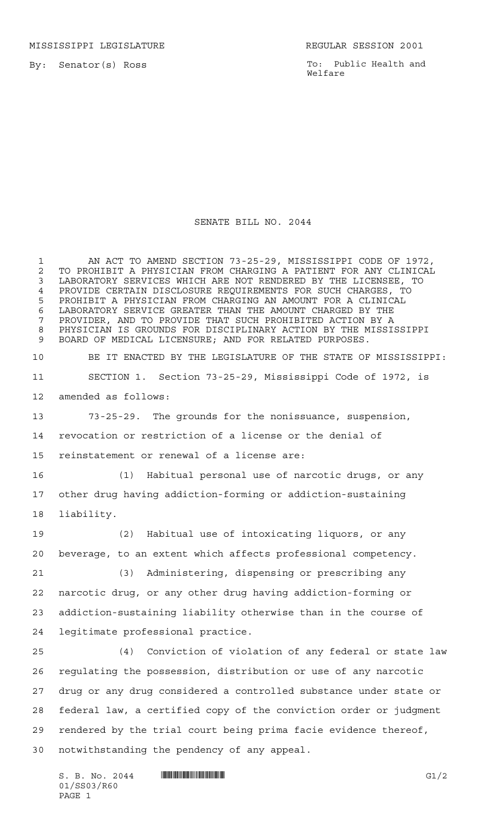MISSISSIPPI LEGISLATURE **REGULAR SESSION 2001** 

By: Senator(s) Ross

To: Public Health and Welfare

## SENATE BILL NO. 2044

 AN ACT TO AMEND SECTION 73-25-29, MISSISSIPPI CODE OF 1972, 2 TO PROHIBIT A PHYSICIAN FROM CHARGING A PATIENT FOR ANY CLINICAL<br>3 LABORATORY SERVICES WHICH ARE NOT RENDERED BY THE LICENSEE, TO LABORATORY SERVICES WHICH ARE NOT RENDERED BY THE LICENSEE, TO 4 PROVIDE CERTAIN DISCLOSURE REQUIREMENTS FOR SUCH CHARGES, TO<br>5 PROHIBIT A PHYSICIAN FROM CHARGING AN AMOUNT FOR A CLINICAL PROHIBIT A PHYSICIAN FROM CHARGING AN AMOUNT FOR A CLINICAL LABORATORY SERVICE GREATER THAN THE AMOUNT CHARGED BY THE PROVIDER, AND TO PROVIDE THAT SUCH PROHIBITED ACTION BY A PHYSICIAN IS GROUNDS FOR DISCIPLINARY ACTION BY THE MISSISSIPPI BOARD OF MEDICAL LICENSURE; AND FOR RELATED PURPOSES. BE IT ENACTED BY THE LEGISLATURE OF THE STATE OF MISSISSIPPI: SECTION 1. Section 73-25-29, Mississippi Code of 1972, is amended as follows: 73-25-29. The grounds for the nonissuance, suspension, revocation or restriction of a license or the denial of reinstatement or renewal of a license are: (1) Habitual personal use of narcotic drugs, or any other drug having addiction-forming or addiction-sustaining liability. (2) Habitual use of intoxicating liquors, or any beverage, to an extent which affects professional competency. (3) Administering, dispensing or prescribing any narcotic drug, or any other drug having addiction-forming or addiction-sustaining liability otherwise than in the course of legitimate professional practice. (4) Conviction of violation of any federal or state law regulating the possession, distribution or use of any narcotic drug or any drug considered a controlled substance under state or federal law, a certified copy of the conviction order or judgment rendered by the trial court being prima facie evidence thereof, notwithstanding the pendency of any appeal.

 $S. B. No. 2044$  . THE SUBSECTION SET OF SECTION SET OF STATES SET OF STATES SECTION SET OF STATES SECTION SECTION SECTION SECTION SECTION SECTION SECTION SECTION SECTION SECTION SECTION SECTION SECTION SECTION SECTION SECTI 01/SS03/R60 PAGE 1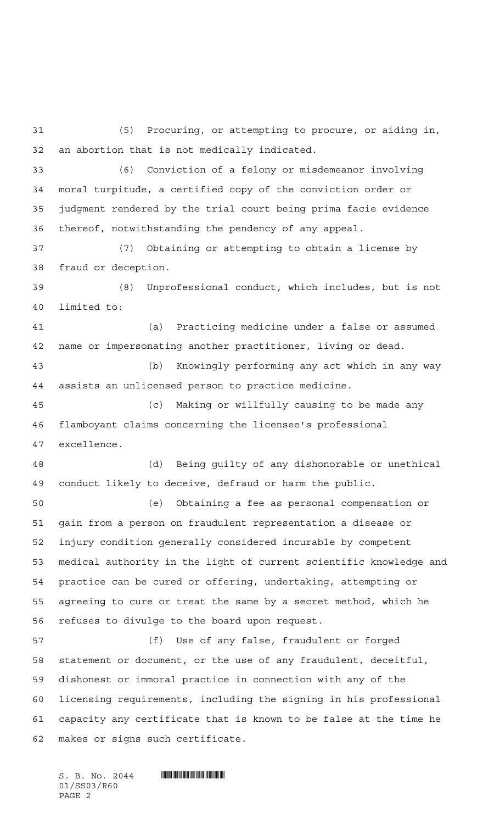(5) Procuring, or attempting to procure, or aiding in, an abortion that is not medically indicated.

 (6) Conviction of a felony or misdemeanor involving moral turpitude, a certified copy of the conviction order or judgment rendered by the trial court being prima facie evidence thereof, notwithstanding the pendency of any appeal.

 (7) Obtaining or attempting to obtain a license by fraud or deception.

 (8) Unprofessional conduct, which includes, but is not limited to:

 (a) Practicing medicine under a false or assumed name or impersonating another practitioner, living or dead.

 (b) Knowingly performing any act which in any way assists an unlicensed person to practice medicine.

 (c) Making or willfully causing to be made any flamboyant claims concerning the licensee's professional excellence.

 (d) Being guilty of any dishonorable or unethical conduct likely to deceive, defraud or harm the public.

 (e) Obtaining a fee as personal compensation or gain from a person on fraudulent representation a disease or injury condition generally considered incurable by competent medical authority in the light of current scientific knowledge and practice can be cured or offering, undertaking, attempting or agreeing to cure or treat the same by a secret method, which he refuses to divulge to the board upon request.

 (f) Use of any false, fraudulent or forged statement or document, or the use of any fraudulent, deceitful, dishonest or immoral practice in connection with any of the licensing requirements, including the signing in his professional capacity any certificate that is known to be false at the time he makes or signs such certificate.

 $S.$  B. No. 2044  $\blacksquare$ 01/SS03/R60 PAGE 2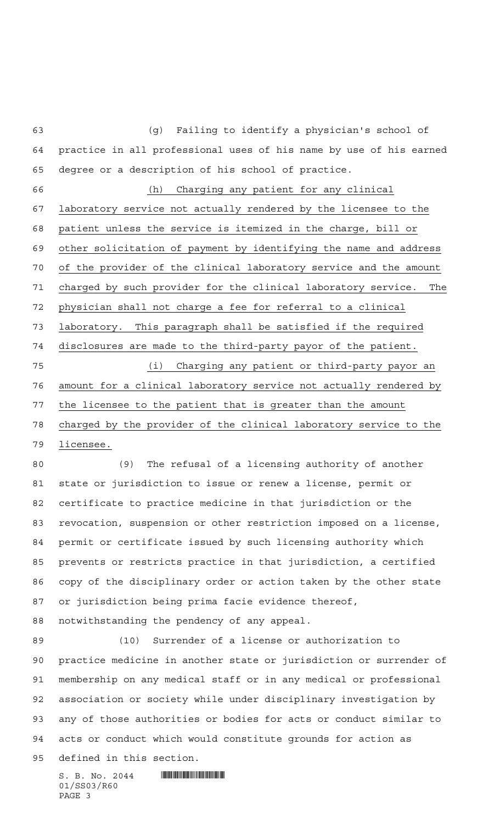(g) Failing to identify a physician's school of practice in all professional uses of his name by use of his earned degree or a description of his school of practice. (h) Charging any patient for any clinical laboratory service not actually rendered by the licensee to the patient unless the service is itemized in the charge, bill or other solicitation of payment by identifying the name and address of the provider of the clinical laboratory service and the amount charged by such provider for the clinical laboratory service. The physician shall not charge a fee for referral to a clinical laboratory. This paragraph shall be satisfied if the required disclosures are made to the third-party payor of the patient. (i) Charging any patient or third-party payor an amount for a clinical laboratory service not actually rendered by the licensee to the patient that is greater than the amount charged by the provider of the clinical laboratory service to the licensee. (9) The refusal of a licensing authority of another state or jurisdiction to issue or renew a license, permit or certificate to practice medicine in that jurisdiction or the revocation, suspension or other restriction imposed on a license, permit or certificate issued by such licensing authority which prevents or restricts practice in that jurisdiction, a certified copy of the disciplinary order or action taken by the other state or jurisdiction being prima facie evidence thereof, notwithstanding the pendency of any appeal. (10) Surrender of a license or authorization to practice medicine in another state or jurisdiction or surrender of membership on any medical staff or in any medical or professional association or society while under disciplinary investigation by

acts or conduct which would constitute grounds for action as

any of those authorities or bodies for acts or conduct similar to

defined in this section.

 $S.$  B. No. 2044 **ING AND AND AN ALL AND AN ALL ADD** 01/SS03/R60 PAGE 3